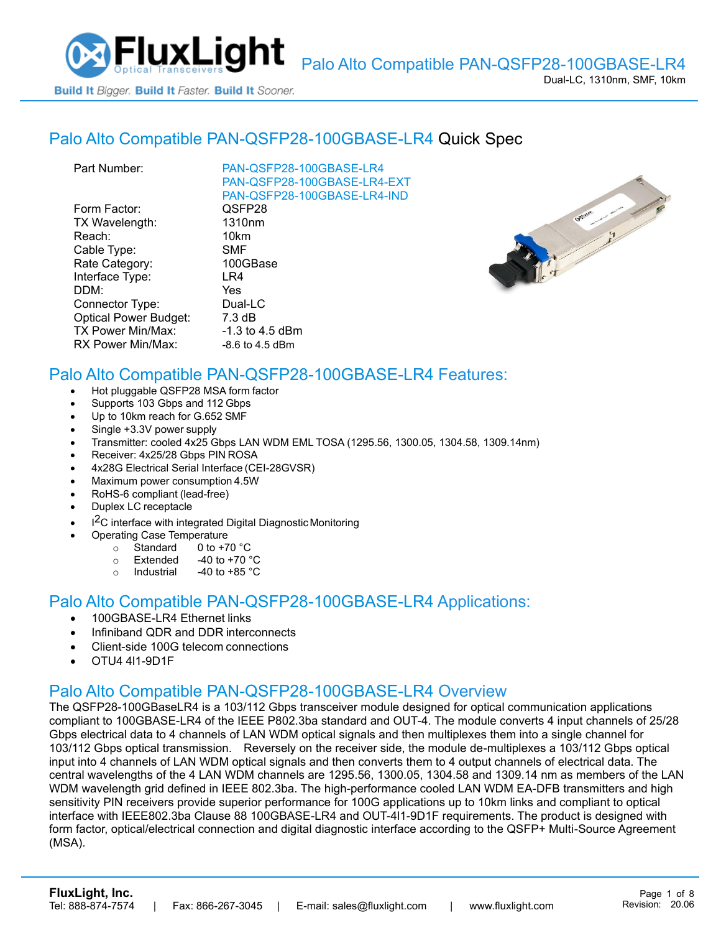

#### Palo Alto [Compatible PAN-QSFP28-100GBASE-LR4](https://www.fluxlight.com/PAN-QSFP28-100GBASE-LR4/) Quick Spec

| Part Number:                 | PAN-QSFP28-100GBASE-LR4     |
|------------------------------|-----------------------------|
|                              | PAN-QSFP28-100GBASE-LR4-EXT |
|                              | PAN-QSFP28-100GBASE-LR4-IND |
| Form Factor:                 | QSFP28                      |
| TX Wavelength:               | 1310 <sub>nm</sub>          |
| Reach:                       | 10km                        |
| Cable Type:                  | <b>SMF</b>                  |
| Rate Category:               | 100GBase                    |
| Interface Type:              | LR4                         |
| DDM:                         | Yes                         |
| Connector Type:              | Dual-LC                     |
| <b>Optical Power Budget:</b> | $7.3 \text{ dB}$            |
| <b>TX Power Min/Max:</b>     | $-1.3$ to 4.5 dBm           |
| RX Power Min/Max:            | $-8.6$ to 4.5 dBm           |
|                              |                             |



# Palo Alto Compatible [PAN-QSFP28-100GBASE-LR4](https://www.fluxlight.com/PAN-QSFP28-100GBASE-LR4/) Features:

- Hot pluggable QSFP28 MSA form factor
- Supports 103 Gbps and 112 Gbps
- Up to 10km reach for G.652 SMF
- Single +3.3V power supply
- Transmitter: cooled 4x25 Gbps LAN WDM EML TOSA (1295.56, 1300.05, 1304.58, 1309.14nm)
- Receiver: 4x25/28 Gbps PIN ROSA
- 4x28G Electrical Serial Interface (CEI-28GVSR)
- Maximum power consumption 4.5W
- RoHS-6 compliant (lead-free)
- Duplex LC receptacle
- I<sup>2</sup>C interface with integrated Digital Diagnostic Monitoring
	- Operating Case Temperature
		- o Standard 0 to +70 °C
		- $\circ$  Extended -40 to +70  $\degree$ C
		- o Industrial  $-40$  to  $+85$  °C

#### Palo Alto Compatible [PAN-QSFP28-100GBASE-LR4](https://www.fluxlight.com/PAN-QSFP28-100GBASE-LR4/) Applications:

- 100GBASE-LR4 Ethernet links
- Infiniband QDR and DDR interconnects
- Client-side 100G telecom connections
- OTU4 4l1-9D1F

### Palo Alto Compatible [PAN-QSFP28-100GBASE-LR4](https://www.fluxlight.com/PAN-QSFP28-100GBASE-LR4/) Overview

The QSFP28-100GBaseLR4 is a 103/112 Gbps transceiver module designed for optical communication applications compliant to 100GBASE-LR4 of the IEEE P802.3ba standard and OUT-4. The module converts 4 input channels of 25/28 Gbps electrical data to 4 channels of LAN WDM optical signals and then multiplexes them into a single channel for 103/112 Gbps optical transmission. Reversely on the receiver side, the module de-multiplexes a 103/112 Gbps optical input into 4 channels of LAN WDM optical signals and then converts them to 4 output channels of electrical data. The central wavelengths of the 4 LAN WDM channels are 1295.56, 1300.05, 1304.58 and 1309.14 nm as members of the LAN WDM wavelength grid defined in IEEE 802.3ba. The high-performance cooled LAN WDM EA-DFB transmitters and high sensitivity PIN receivers provide superior performance for 100G applications up to 10km links and compliant to optical interface with IEEE802.3ba Clause 88 100GBASE-LR4 and OUT-4l1-9D1F requirements. The product is designed with form factor, optical/electrical connection and digital diagnostic interface according to the QSFP+ Multi-Source Agreement (MSA).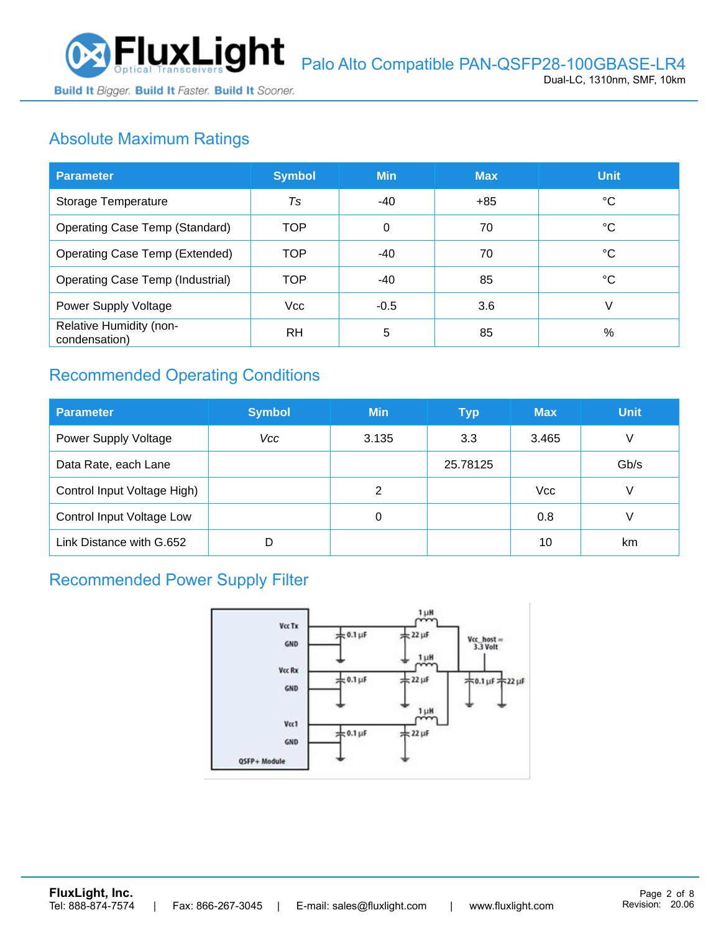

# Absolute Maximum Ratings

| <b>Parameter</b>                         | <b>Symbol</b> | <b>Min</b> | <b>Max</b> | <b>Unit</b> |
|------------------------------------------|---------------|------------|------------|-------------|
| Storage Temperature                      | Ts            | -40        | +85        | °C          |
| Operating Case Temp (Standard)           | TOP           | 0          | 70         | °C          |
| Operating Case Temp (Extended)           | TOP           | $-40$      | 70         | °C          |
| Operating Case Temp (Industrial)         | TOP           | $-40$      | 85         | °C          |
| Power Supply Voltage                     | <b>Vcc</b>    | $-0.5$     | 3.6        | V           |
| Relative Humidity (non-<br>condensation) | RH            | 5          | 85         | %           |

# Recommended Operating Conditions

| <b>Parameter</b>                 | <b>Symbol</b> | <b>Min</b> | <b>Typ</b> | <b>Max</b> | <b>Unit</b> |
|----------------------------------|---------------|------------|------------|------------|-------------|
| Power Supply Voltage             | Vcc           | 3.135      | 3.3        | 3.465      | V           |
| Data Rate, each Lane             |               |            | 25.78125   |            | Gb/s        |
| Control Input Voltage High)      |               | 2          |            | <b>Vcc</b> | V           |
| <b>Control Input Voltage Low</b> |               | 0          |            | 0.8        | V           |
| Link Distance with G.652         | D             |            |            | 10         | km          |

### Recommended Power Supply Filter

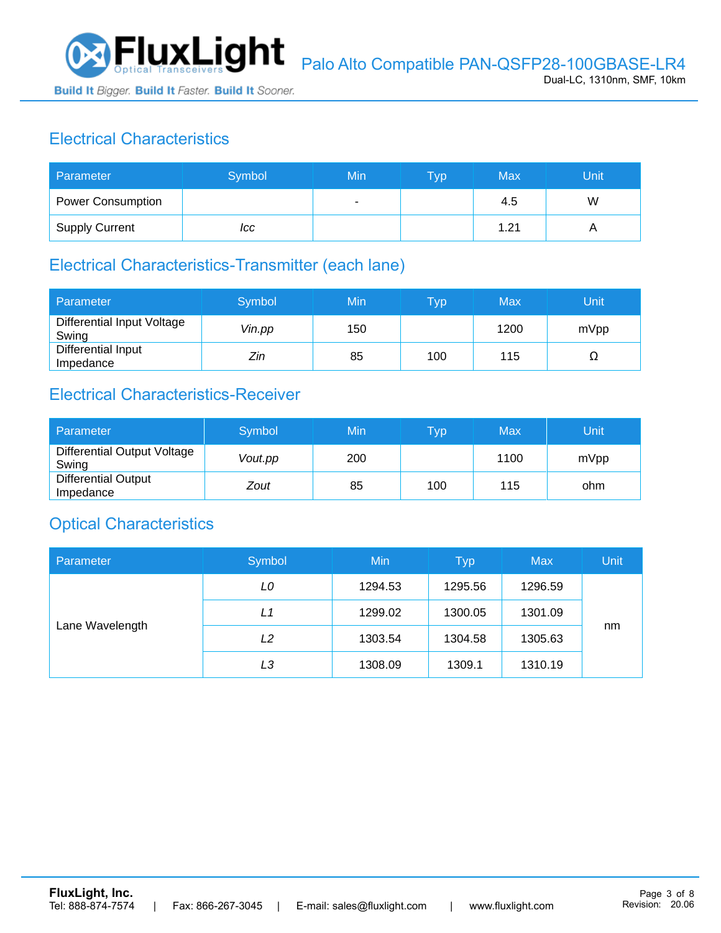

# Electrical Characteristics

| Parameter                | Symbol | Min | <b>Typ</b> | Max  | Unit |
|--------------------------|--------|-----|------------|------|------|
| <b>Power Consumption</b> |        | ۰   |            | 4.5  | W    |
| <b>Supply Current</b>    | ICC    |     |            | 1.21 |      |

#### Electrical Characteristics-Transmitter (each lane)

| Parameter                           | Symbol | Min | $\mathsf{Typ}$ | Max  | Unit |
|-------------------------------------|--------|-----|----------------|------|------|
| Differential Input Voltage<br>Swing | Vin.pp | 150 |                | 1200 | mVpp |
| Differential Input<br>Impedance     | Zin    | 85  | 100            | 115  | Ω    |

#### Electrical Characteristics-Receiver

| Parameter                               | Symbol  | Min | Typ | Max  | Unit |
|-----------------------------------------|---------|-----|-----|------|------|
| Differential Output Voltage<br>Swing    | Vout.pp | 200 |     | 1100 | mVpp |
| <b>Differential Output</b><br>Impedance | Zout    | 85  | 100 | 115  | ohm  |

### Optical Characteristics

| Parameter       | Symbol | Min     | <b>Typ</b> | <b>Max</b> | Unit |
|-----------------|--------|---------|------------|------------|------|
| Lane Wavelength | LO     | 1294.53 | 1295.56    | 1296.59    |      |
|                 | L1     | 1299.02 | 1300.05    | 1301.09    |      |
|                 | L2     | 1303.54 | 1304.58    | 1305.63    | nm   |
|                 | LЗ     | 1308.09 | 1309.1     | 1310.19    |      |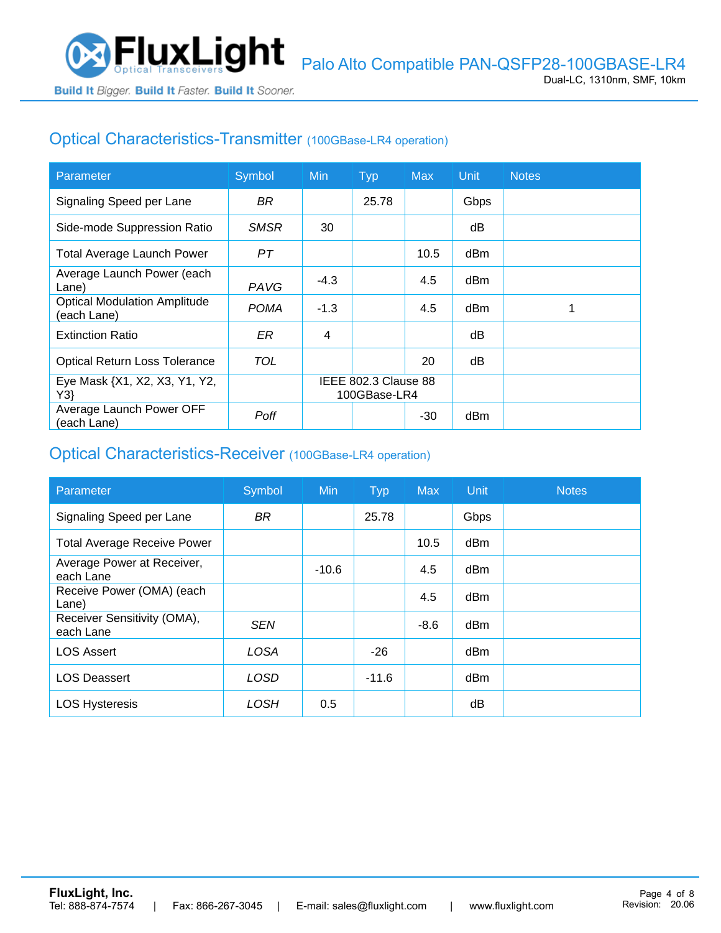

# Optical Characteristics-Transmitter (100GBase-LR4 operation)

| Parameter                                          | Symbol      | <b>Min</b>                           | <b>Typ</b> | <b>Max</b> | Unit | <b>Notes</b> |
|----------------------------------------------------|-------------|--------------------------------------|------------|------------|------|--------------|
| Signaling Speed per Lane                           | BR.         |                                      | 25.78      |            | Gbps |              |
| Side-mode Suppression Ratio                        | <b>SMSR</b> | 30                                   |            |            | dB   |              |
| <b>Total Average Launch Power</b>                  | PТ          |                                      |            | 10.5       | dBm  |              |
| Average Launch Power (each<br>Lane)                | PAVG        | $-4.3$                               |            | 4.5        | dBm  |              |
| <b>Optical Modulation Amplitude</b><br>(each Lane) | <b>POMA</b> | $-1.3$                               |            | 4.5        | dBm  |              |
| <b>Extinction Ratio</b>                            | ER          | 4                                    |            |            | dВ   |              |
| <b>Optical Return Loss Tolerance</b>               | TOL         |                                      |            | 20         | dB   |              |
| Eye Mask {X1, X2, X3, Y1, Y2,<br>Y3                |             | IEEE 802.3 Clause 88<br>100GBase-LR4 |            |            |      |              |
| Average Launch Power OFF<br>(each Lane)            | Poff        |                                      |            | $-30$      | dBm  |              |

#### Optical Characteristics-Receiver (100GBase-LR4 operation)

| Parameter                                | Symbol      | <b>Min</b> | <b>Typ</b> | <b>Max</b> | Unit | <b>Notes</b> |
|------------------------------------------|-------------|------------|------------|------------|------|--------------|
| Signaling Speed per Lane                 | <b>BR</b>   |            | 25.78      |            | Gbps |              |
| <b>Total Average Receive Power</b>       |             |            |            | 10.5       | dBm  |              |
| Average Power at Receiver,<br>each Lane  |             | $-10.6$    |            | 4.5        | dBm  |              |
| Receive Power (OMA) (each<br>Lane)       |             |            |            | 4.5        | dBm  |              |
| Receiver Sensitivity (OMA),<br>each Lane | <b>SEN</b>  |            |            | $-8.6$     | dBm  |              |
| <b>LOS Assert</b>                        | <b>LOSA</b> |            | $-26$      |            | dBm  |              |
| <b>LOS Deassert</b>                      | <b>LOSD</b> |            | $-11.6$    |            | dBm  |              |
| <b>LOS Hysteresis</b>                    | LOSH        | 0.5        |            |            | dB   |              |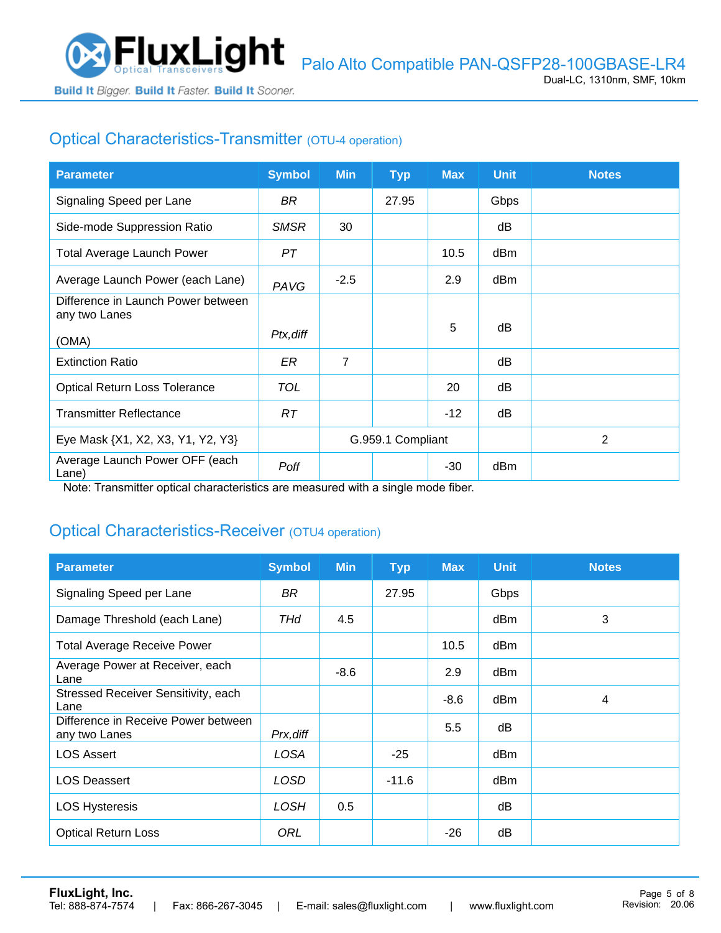

# Optical Characteristics-Transmitter (OTU-4 operation)

| <b>Parameter</b>                                    | <b>Symbol</b> | <b>Min</b>        | <b>Typ</b> | <b>Max</b> | <b>Unit</b> | <b>Notes</b> |
|-----------------------------------------------------|---------------|-------------------|------------|------------|-------------|--------------|
| Signaling Speed per Lane                            | BR.           |                   | 27.95      |            | Gbps        |              |
| Side-mode Suppression Ratio                         | <b>SMSR</b>   | 30                |            |            | dB          |              |
| <b>Total Average Launch Power</b>                   | PT            |                   |            | 10.5       | dBm         |              |
| Average Launch Power (each Lane)                    | PAVG          | $-2.5$            |            | 2.9        | dBm         |              |
| Difference in Launch Power between<br>any two Lanes |               |                   |            |            |             |              |
| (OMA)                                               | Ptx, diff     |                   |            | 5          | dB          |              |
| <b>Extinction Ratio</b>                             | ER            | $\overline{7}$    |            |            | dB          |              |
| <b>Optical Return Loss Tolerance</b>                | <b>TOL</b>    |                   |            | 20         | dB          |              |
| <b>Transmitter Reflectance</b>                      | RT.           |                   |            | $-12$      | dB          |              |
| Eye Mask {X1, X2, X3, Y1, Y2, Y3}                   |               | G.959.1 Compliant |            |            |             | 2            |
| Average Launch Power OFF (each<br>Lane)             | Poff          |                   |            | $-30$      | dBm         |              |

Note: Transmitter optical characteristics are measured with a single mode fiber.

### Optical Characteristics-Receiver (OTU4 operation)

| <b>Parameter</b>                                     | <b>Symbol</b> | <b>Min</b> | <b>Typ</b> | <b>Max</b> | <b>Unit</b> | <b>Notes</b> |
|------------------------------------------------------|---------------|------------|------------|------------|-------------|--------------|
| Signaling Speed per Lane                             | BR            |            | 27.95      |            | Gbps        |              |
| Damage Threshold (each Lane)                         | THd           | 4.5        |            |            | dBm         | 3            |
| <b>Total Average Receive Power</b>                   |               |            |            | 10.5       | dBm         |              |
| Average Power at Receiver, each<br>Lane              |               | $-8.6$     |            | 2.9        | dBm         |              |
| Stressed Receiver Sensitivity, each<br>Lane          |               |            |            | $-8.6$     | dBm         | 4            |
| Difference in Receive Power between<br>any two Lanes | Prx, diff     |            |            | 5.5        | dB          |              |
| <b>LOS Assert</b>                                    | LOSA          |            | $-25$      |            | dBm         |              |
| <b>LOS Deassert</b>                                  | LOSD          |            | $-11.6$    |            | dBm         |              |
| <b>LOS Hysteresis</b>                                | <b>LOSH</b>   | 0.5        |            |            | dB          |              |
| <b>Optical Return Loss</b>                           | ORL           |            |            | $-26$      | dB          |              |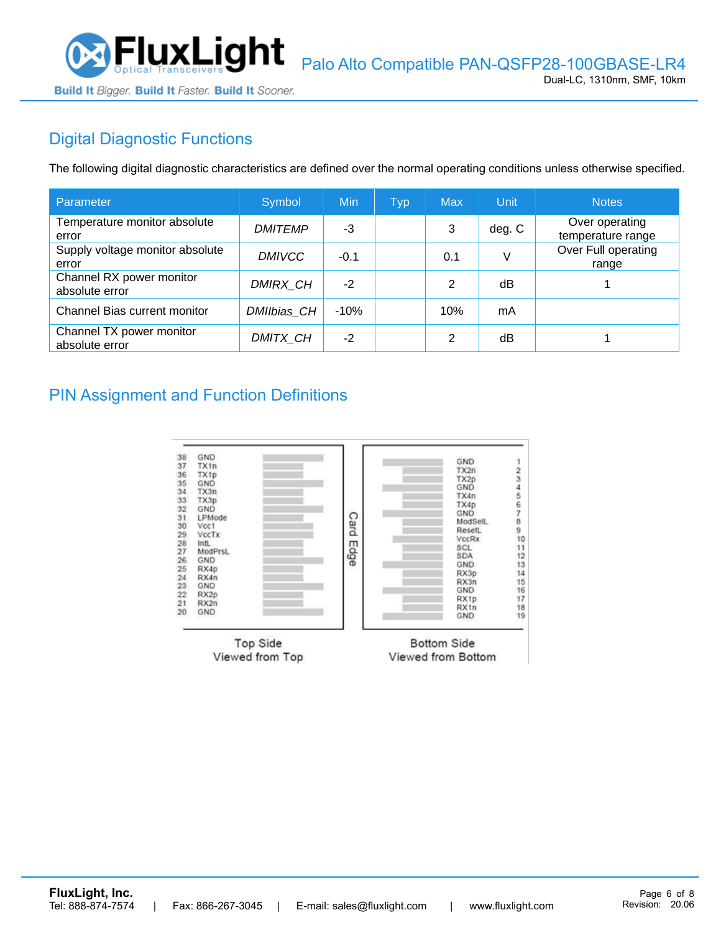

# Digital Diagnostic Functions

The following digital diagnostic characteristics are defined over the normal operating conditions unless otherwise specified.

| Parameter                                  | Symbol          | Min    | Typ | <b>Max</b> | Unit   | <b>Notes</b>                        |
|--------------------------------------------|-----------------|--------|-----|------------|--------|-------------------------------------|
| Temperature monitor absolute<br>error      | <b>DMITEMP</b>  | -3     |     | 3          | deg. C | Over operating<br>temperature range |
| Supply voltage monitor absolute<br>error   | <b>DMIVCC</b>   | $-0.1$ |     | 0.1        |        | Over Full operating<br>range        |
| Channel RX power monitor<br>absolute error | <b>DMIRX CH</b> | $-2$   |     | 2          | dB     |                                     |
| Channel Bias current monitor               | DMIIbias CH     | $-10%$ |     | 10%        | mA     |                                     |
| Channel TX power monitor<br>absolute error | DMITX CH        | $-2$   |     | 2          | dB     |                                     |

#### PIN Assignment and Function Definitions

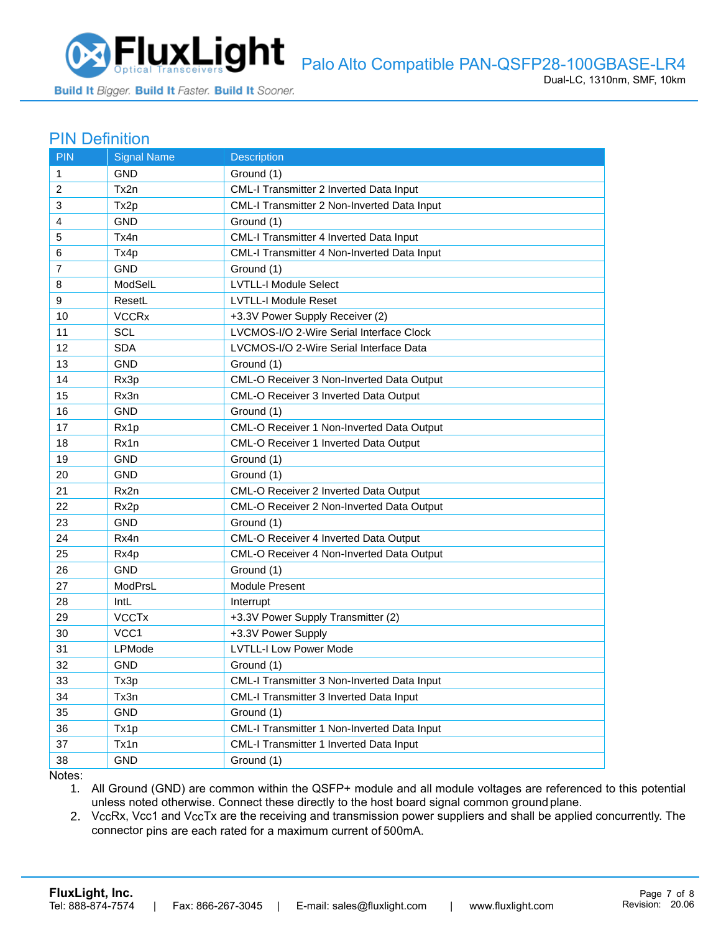

#### PIN Definition

| <b>PIN</b>     | <b>Signal Name</b> | <b>Description</b>                          |
|----------------|--------------------|---------------------------------------------|
| $\mathbf{1}$   | <b>GND</b>         | Ground (1)                                  |
| 2              | Tx2n               | CML-I Transmitter 2 Inverted Data Input     |
| 3              | Tx2p               | CML-I Transmitter 2 Non-Inverted Data Input |
| 4              | <b>GND</b>         | Ground (1)                                  |
| 5              | Tx4n               | CML-I Transmitter 4 Inverted Data Input     |
| 6              | Tx4p               | CML-I Transmitter 4 Non-Inverted Data Input |
| $\overline{7}$ | <b>GND</b>         | Ground (1)                                  |
| 8              | ModSelL            | <b>LVTLL-I Module Select</b>                |
| 9              | ResetL             | <b>LVTLL-I Module Reset</b>                 |
| 10             | <b>VCCRx</b>       | +3.3V Power Supply Receiver (2)             |
| 11             | <b>SCL</b>         | LVCMOS-I/O 2-Wire Serial Interface Clock    |
| 12             | <b>SDA</b>         | LVCMOS-I/O 2-Wire Serial Interface Data     |
| 13             | <b>GND</b>         | Ground (1)                                  |
| 14             | Rx3p               | CML-O Receiver 3 Non-Inverted Data Output   |
| 15             | Rx3n               | CML-O Receiver 3 Inverted Data Output       |
| 16             | <b>GND</b>         | Ground (1)                                  |
| 17             | Rx1p               | CML-O Receiver 1 Non-Inverted Data Output   |
| 18             | Rx1n               | CML-O Receiver 1 Inverted Data Output       |
| 19             | <b>GND</b>         | Ground (1)                                  |
| 20             | <b>GND</b>         | Ground (1)                                  |
| 21             | Rx2n               | CML-O Receiver 2 Inverted Data Output       |
| 22             | Rx <sub>2p</sub>   | CML-O Receiver 2 Non-Inverted Data Output   |
| 23             | GND                | Ground (1)                                  |
| 24             | Rx4n               | CML-O Receiver 4 Inverted Data Output       |
| 25             | Rx4p               | CML-O Receiver 4 Non-Inverted Data Output   |
| 26             | <b>GND</b>         | Ground (1)                                  |
| 27             | ModPrsL            | Module Present                              |
| 28             | IntL               | Interrupt                                   |
| 29             | <b>VCCTx</b>       | +3.3V Power Supply Transmitter (2)          |
| 30             | VCC1               | +3.3V Power Supply                          |
| 31             | LPMode             | <b>LVTLL-I Low Power Mode</b>               |
| 32             | <b>GND</b>         | Ground (1)                                  |
| 33             | Tx3p               | CML-I Transmitter 3 Non-Inverted Data Input |
| 34             | Tx3n               | CML-I Transmitter 3 Inverted Data Input     |
| 35             | <b>GND</b>         | Ground (1)                                  |
| 36             | Tx1p               | CML-I Transmitter 1 Non-Inverted Data Input |
| 37             | Tx1n               | CML-I Transmitter 1 Inverted Data Input     |
| 38             | <b>GND</b>         | Ground (1)                                  |

Notes:

1. All Ground (GND) are common within the QSFP+ module and all module voltages are referenced to this potential unless noted otherwise. Connect these directly to the host board signal common ground plane.

2. VccRx, Vcc1 and VccTx are the receiving and transmission power suppliers and shall be applied concurrently. The connector pins are each rated for a maximum current of 500mA.